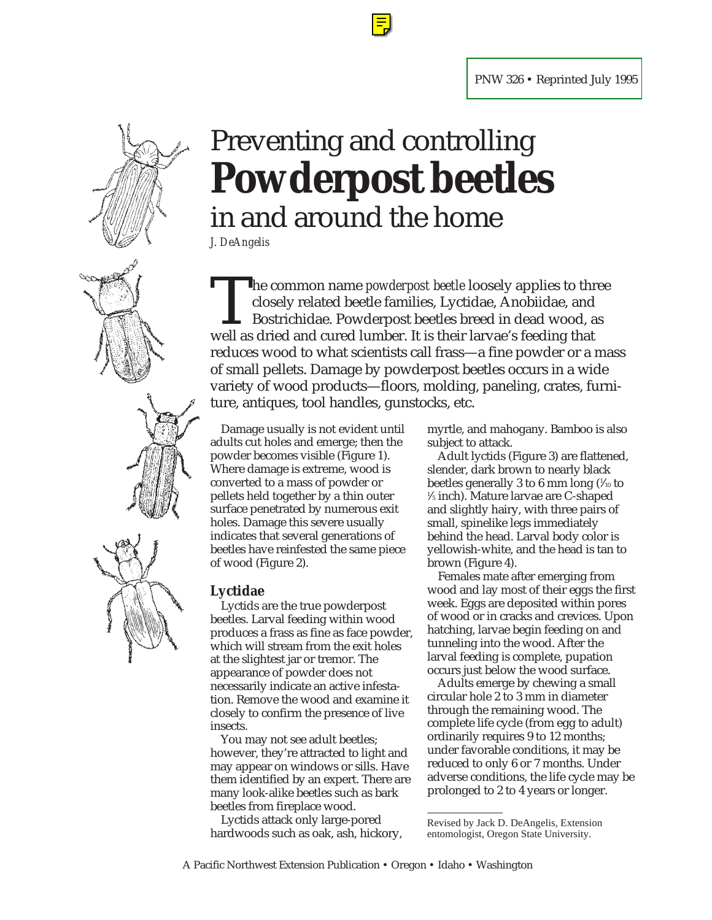

# Preventing and controlling **Powderpost beetles** in and around the home

*J. DeAngelis*

The common name *powderpost beetle* loosely applies to three closely related beetle families, Lyctidae, Anobiidae, and Bostrichidae. Powderpost beetles breed in dead wood, as well as dried and cured lumber. It is their lar closely related beetle families, Lyctidae, Anobiidae, and Bostrichidae. Powderpost beetles breed in dead wood, as well as dried and cured lumber. It is their larvae's feeding that reduces wood to what scientists call frass—a fine powder or a mass of small pellets. Damage by powderpost beetles occurs in a wide variety of wood products—floors, molding, paneling, crates, furniture, antiques, tool handles, gunstocks, etc.

Damage usually is not evident until adults cut holes and emerge; then the powder becomes visible (Figure 1). Where damage is extreme, wood is converted to a mass of powder or pellets held together by a thin outer surface penetrated by numerous exit holes. Damage this severe usually indicates that several generations of beetles have reinfested the same piece of wood (Figure 2).

#### **Lyctidae**

Lyctids are the true powderpost beetles. Larval feeding within wood produces a frass as fine as face powder, which will stream from the exit holes at the slightest jar or tremor. The appearance of powder does not necessarily indicate an active infestation. Remove the wood and examine it closely to confirm the presence of live insects.

You may not see adult beetles; however, they're attracted to light and may appear on windows or sills. Have them identified by an expert. There are many look-alike beetles such as bark beetles from fireplace wood.

Lyctids attack only large-pored hardwoods such as oak, ash, hickory, myrtle, and mahogany. Bamboo is also subject to attack.

Adult lyctids (Figure 3) are flattened, slender, dark brown to nearly black beetles generally 3 to 6 mm long (¼0 to 1 ⁄5 inch). Mature larvae are C-shaped and slightly hairy, with three pairs of small, spinelike legs immediately behind the head. Larval body color is yellowish-white, and the head is tan to brown (Figure 4).

Females mate after emerging from wood and lay most of their eggs the first week. Eggs are deposited within pores of wood or in cracks and crevices. Upon hatching, larvae begin feeding on and tunneling into the wood. After the larval feeding is complete, pupation occurs just below the wood surface.

Adults emerge by chewing a small circular hole 2 to 3 mm in diameter through the remaining wood. The complete life cycle (from egg to adult) ordinarily requires 9 to 12 months; under favorable conditions, it may be reduced to only 6 or 7 months. Under adverse conditions, the life cycle may be prolonged to 2 to 4 years or longer.

Revised by Jack D. DeAngelis, Extension entomologist, Oregon State University.

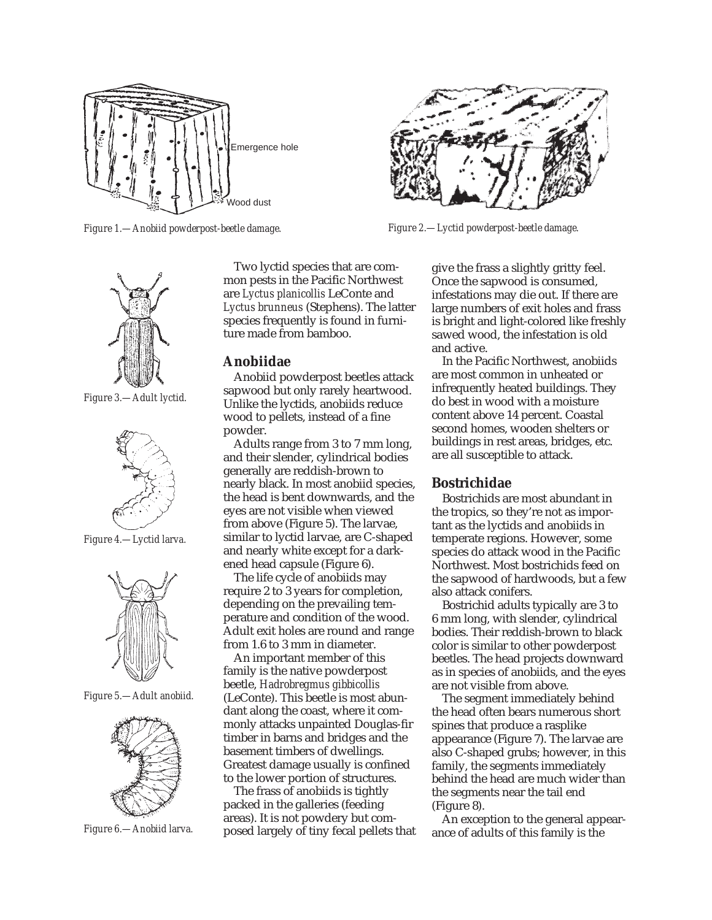

*Figure 1.—Anobiid powderpost-beetle damage. Figure 2.—Lyctid powderpost-beetle damage.*



### **Anobiidae**

Anobiid powderpost beetles attack sapwood but only rarely heartwood. Unlike the lyctids, anobiids reduce wood to pellets, instead of a fine powder.

Adults range from 3 to 7 mm long, and their slender, cylindrical bodies generally are reddish-brown to nearly black. In most anobiid species, the head is bent downwards, and the eyes are not visible when viewed from above (Figure 5). The larvae, similar to lyctid larvae, are C-shaped and nearly white except for a darkened head capsule (Figure 6).

The life cycle of anobiids may require 2 to 3 years for completion, depending on the prevailing temperature and condition of the wood. Adult exit holes are round and range from 1.6 to 3 mm in diameter.

An important member of this family is the native powderpost beetle, *Hadrobregmus gibbicollis* (LeConte). This beetle is most abundant along the coast, where it commonly attacks unpainted Douglas-fir timber in barns and bridges and the basement timbers of dwellings. Greatest damage usually is confined to the lower portion of structures.

The frass of anobiids is tightly packed in the galleries (feeding areas). It is not powdery but composed largely of tiny fecal pellets that

give the frass a slightly gritty feel. Once the sapwood is consumed, infestations may die out. If there are large numbers of exit holes and frass is bright and light-colored like freshly sawed wood, the infestation is old and active.

In the Pacific Northwest, anobiids are most common in unheated or infrequently heated buildings. They do best in wood with a moisture content above 14 percent. Coastal second homes, wooden shelters or buildings in rest areas, bridges, etc. are all susceptible to attack.

### **Bostrichidae**

Bostrichids are most abundant in the tropics, so they're not as important as the lyctids and anobiids in temperate regions. However, some species do attack wood in the Pacific Northwest. Most bostrichids feed on the sapwood of hardwoods, but a few also attack conifers.

Bostrichid adults typically are 3 to 6 mm long, with slender, cylindrical bodies. Their reddish-brown to black color is similar to other powderpost beetles. The head projects downward as in species of anobiids, and the eyes are not visible from above.

The segment immediately behind the head often bears numerous short spines that produce a rasplike appearance (Figure 7). The larvae are also C-shaped grubs; however, in this family, the segments immediately behind the head are much wider than the segments near the tail end (Figure 8).

An exception to the general appearance of adults of this family is the

*Figure 3.—Adult lyctid.*



*Figure 4.—Lyctid larva.*



*Figure 5.—Adult anobiid.*



*Figure 6.—Anobiid larva.*

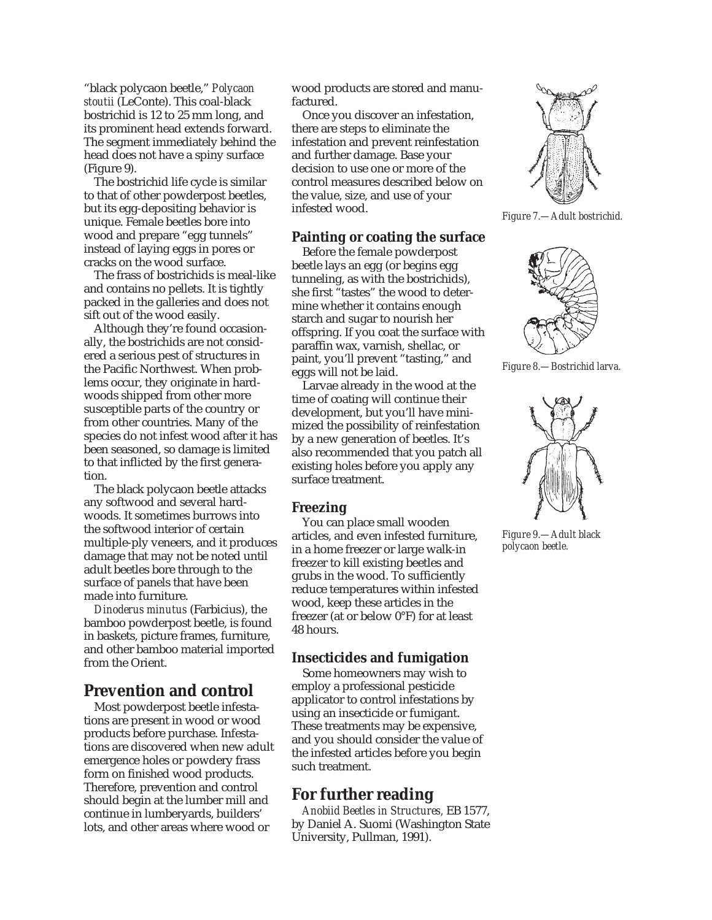"black polycaon beetle," *Polycaon stoutii* (LeConte). This coal-black bostrichid is 12 to 25 mm long, and its prominent head extends forward. The segment immediately behind the head does not have a spiny surface (Figure 9).

The bostrichid life cycle is similar to that of other powderpost beetles, but its egg-depositing behavior is unique. Female beetles bore into wood and prepare "egg tunnels" instead of laying eggs in pores or cracks on the wood surface.

The frass of bostrichids is meal-like and contains no pellets. It is tightly packed in the galleries and does not sift out of the wood easily.

Although they're found occasionally, the bostrichids are not considered a serious pest of structures in the Pacific Northwest. When problems occur, they originate in hardwoods shipped from other more susceptible parts of the country or from other countries. Many of the species do not infest wood after it has been seasoned, so damage is limited to that inflicted by the first generation.

The black polycaon beetle attacks any softwood and several hardwoods. It sometimes burrows into the softwood interior of certain multiple-ply veneers, and it produces damage that may not be noted until adult beetles bore through to the surface of panels that have been made into furniture.

*Dinoderus minutus* (Farbicius), the bamboo powderpost beetle, is found in baskets, picture frames, furniture, and other bamboo material imported from the Orient.

# **Prevention and control**

Most powderpost beetle infestations are present in wood or wood products before purchase. Infestations are discovered when new adult emergence holes or powdery frass form on finished wood products. Therefore, prevention and control should begin at the lumber mill and continue in lumberyards, builders' lots, and other areas where wood or

wood products are stored and manufactured.

Once you discover an infestation, there are steps to eliminate the infestation and prevent reinfestation and further damage. Base your decision to use one or more of the control measures described below on the value, size, and use of your infested wood.

## **Painting or coating the surface**

Before the female powderpost beetle lays an egg (or begins egg tunneling, as with the bostrichids), she first "tastes" the wood to determine whether it contains enough starch and sugar to nourish her offspring. If you coat the surface with paraffin wax, varnish, shellac, or paint, you'll prevent "tasting," and eggs will not be laid.

Larvae already in the wood at the time of coating will continue their development, but you'll have minimized the possibility of reinfestation by a new generation of beetles. It's also recommended that you patch all existing holes before you apply any surface treatment.

## **Freezing**

You can place small wooden articles, and even infested furniture, in a home freezer or large walk-in freezer to kill existing beetles and grubs in the wood. To sufficiently reduce temperatures within infested wood, keep these articles in the freezer (at or below 0°F) for at least 48 hours.

## **Insecticides and fumigation**

Some homeowners may wish to employ a professional pesticide applicator to control infestations by using an insecticide or fumigant. These treatments may be expensive, and you should consider the value of the infested articles before you begin such treatment.

# **For further reading**

*Anobiid Beetles in Structures,* EB 1577, by Daniel A. Suomi (Washington State University, Pullman, 1991).



*Figure 7.—Adult bostrichid.*



*Figure 8.—Bostrichid larva.*



*Figure 9.—Adult black polycaon beetle.*